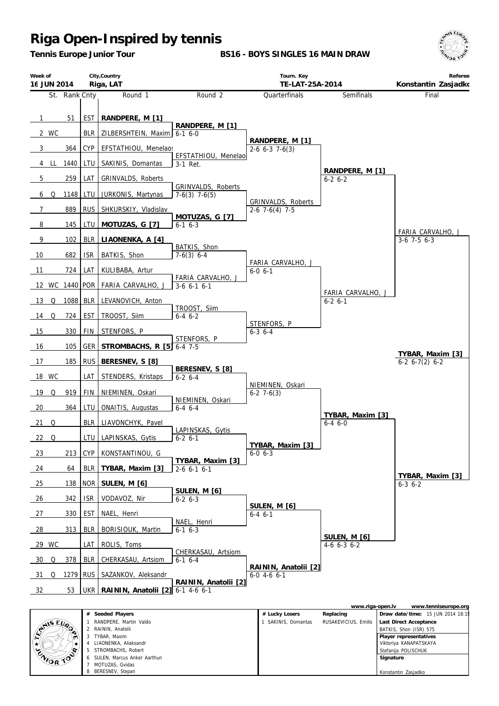*Tennis Europe Junior Tour*

**BS16 - BOYS SINGLES 16 MAIN DRAW**



| Week of<br>16 JUN 2014 |            | City, Country<br>Riga, LAT             |                                          | Tourn. Key<br>TE-LAT-25A-2014                |                                    | Referee<br>Konstantin Zasjadko                  |
|------------------------|------------|----------------------------------------|------------------------------------------|----------------------------------------------|------------------------------------|-------------------------------------------------|
| St. Rank Cnty          |            | Round 1                                | Round 2                                  | Quarterfinals                                | Semifinals                         | Final                                           |
| 51<br>$\overline{1}$   | <b>EST</b> | RANDPERE, M [1]                        | RANDPERE, M [1]                          |                                              |                                    |                                                 |
| 2 WC                   | <b>BLR</b> | ZILBERSHTEIN, Maxim                    | $6-16-0$                                 | RANDPERE, M [1]                              |                                    |                                                 |
| 364<br>3               | CYP        | EFSTATHIOU, Menelaos                   | EFSTATHIOU, Menelao                      | $2-6$ 6-3 7-6(3)                             |                                    |                                                 |
| 1440<br>4 LL           | LTU        | SAKINIS, Domantas                      | 3-1 Ret.                                 |                                              | RANDPERE, M [1]                    |                                                 |
| 259<br>5               | LAT        | GRINVALDS, Roberts                     |                                          |                                              | $6 - 26 - 2$                       |                                                 |
| 1148<br>6 Q            | LTU        | JURKONIS, Martynas                     | GRINVALDS, Roberts<br>$7-6(3)$ 7 $-6(5)$ |                                              |                                    |                                                 |
| 889<br>$\overline{7}$  | <b>RUS</b> | SHKURSKIY, Vladislav                   |                                          | GRINVALDS, Roberts<br>$2-6$ 7 $-6(4)$ 7 $-5$ |                                    |                                                 |
| $\overline{8}$<br>145  | LTU        | MOTUZAS, G [7]                         | MOTUZAS, G [7]<br>$6-1$ $6-3$            |                                              |                                    |                                                 |
| $\overline{9}$<br>102  | <b>BLR</b> | LIAONENKA, A [4]                       |                                          |                                              |                                    | FARIA CARVALHO, J<br>$3-6$ 7-5 6-3              |
| 682<br>10              | <b>ISR</b> | BATKIS, Shon                           | BATKIS, Shon<br>$7-6(3)$ 6-4             |                                              |                                    |                                                 |
| 11<br>724              | LAT        | KULIBABA, Artur                        |                                          | FARIA CARVALHO, J<br>$6 - 0 6 - 1$           |                                    |                                                 |
| 12 WC 1440 POR         |            | FARIA CARVALHO, J                      | FARIA CARVALHO, J<br>$3-6$ 6-1 6-1       |                                              |                                    |                                                 |
| 13<br>Q                | 1088 BLR   | LEVANOVICH, Anton                      |                                          |                                              | FARIA CARVALHO, J<br>$6 - 2 6 - 1$ |                                                 |
| 724<br>14 Q            | <b>EST</b> | TROOST, Siim                           | TROOST, Siim<br>$6-4$ $6-2$              |                                              |                                    |                                                 |
| 15<br>330              | <b>FIN</b> | STENFORS, P                            |                                          | STENFORS, P<br>$6 - 3$ $6 - 4$               |                                    |                                                 |
| 16<br>105              | GER        | STROMBACHS, R [5]                      | STENFORS, P<br>$6 - 4$ 7-5               |                                              |                                    |                                                 |
| 17<br>185              | <b>RUS</b> | BERESNEV, S [8]                        |                                          |                                              |                                    | <u>TYBAR, Maxim [3]</u><br>$6-2$ $6-7(2)$ $6-2$ |
| 18 WC                  | LAT        | STENDERS, Kristaps                     | BERESNEV, S [8]<br>$6-2$ 6-4             |                                              |                                    |                                                 |
| 19<br>919<br>Q         | FIN        | NIEMINEN, Oskari                       |                                          | NIEMINEN, Oskari<br>$6-2$ 7 $-6(3)$          |                                    |                                                 |
| 20<br>364              | LTU        | <b>ONAITIS, Augustas</b>               | NIEMINEN, Oskari<br>$6-4$ $6-4$          |                                              |                                    |                                                 |
| $21$ Q                 | <b>BLR</b> | LIAVONCHYK, Pavel                      |                                          |                                              | TYBAR, Maxim [3]<br>$6-46-0$       |                                                 |
| $22$ Q                 | LTU        | LAPINSKAS, Gytis                       | LAPINSKAS, Gytis<br>$6 - 2 6 - 1$        |                                              |                                    |                                                 |
| 213<br>23              | <b>CYP</b> | KONSTANTINOU, G                        |                                          | TYBAR, Maxim [3]<br>$6 - 0 6 - 3$            |                                    |                                                 |
| 64<br>24               | <b>BLR</b> | TYBAR, Maxim [3]                       | TYBAR, Maxim [3]<br>$2-6$ 6-1 6-1        |                                              |                                    |                                                 |
| 138<br>25              | <b>NOR</b> | SULEN, M [6]                           |                                          |                                              |                                    | TYBAR, Maxim [3]<br>$6 - 3 6 - 2$               |
| 342<br>26              | <b>ISR</b> | VODAVOZ, Nir                           | SULEN, M [6]<br>$6-26-3$                 |                                              |                                    |                                                 |
| 330<br>27              | <b>EST</b> | NAEL, Henri                            |                                          | SULEN, M [6]<br>$6 - 4$ $6 - 1$              |                                    |                                                 |
| $\frac{28}{ }$<br>313  | <b>BLR</b> | BORISIOUK, Martin                      | NAEL, Henri<br>$6 - 16 - 3$              |                                              |                                    |                                                 |
| 29 WC                  | LAT        | ROLIS, Toms                            |                                          |                                              | SULEN, M [6]<br>$4-6$ 6-3 6-2      |                                                 |
| 378<br>$-30$<br>Q      | <b>BLR</b> | CHERKASAU, Artsiom                     | CHERKASAU, Artsiom<br>$6-1$ $6-4$        |                                              |                                    |                                                 |
| - 31<br>Q              | 1279 RUS   | SAZANKOV, Aleksandr                    |                                          | RAININ, Anatolii [2]<br>$6-0$ 4-6 $6-1$      |                                    |                                                 |
| 53<br>32               |            | UKR   RAININ, Anatolii [2] 6-1 4-6 6-1 | RAININ, Anatolii [2]                     |                                              |                                    |                                                 |
|                        |            |                                        |                                          |                                              | www.riga-open.lv                   | www.tenniseurope.org                            |

|               |   |                               |                   | www.riga-operi.ly    |                        | www.teriniseurope.org             |
|---------------|---|-------------------------------|-------------------|----------------------|------------------------|-----------------------------------|
|               | # | Seeded Players                | # Lucky Losers    | Replacing            |                        | Draw date/time: 15 JUN 2014 18:19 |
|               |   | RANDPERE, Martin Valdo        | SAKINIS, Domantas | RUSAKEVICIUS, Emilis | Last Direct Acceptance |                                   |
| <b>ANSEUR</b> |   | RAININ, Anatolii              |                   |                      | BATKIS, Shon (ISR) 575 |                                   |
|               |   | TYBAR, Maxim                  |                   |                      | Player representatives |                                   |
|               |   | LIAONENKA, Aliaksandr         |                   |                      | Viktoriya KANAPATSKAYA |                                   |
|               |   | STROMBACHS, Robert            |                   |                      | Stefanija POLISCHUK    |                                   |
| ENIOR TO      |   | 6 SULEN. Marcus Anker Aarthun |                   |                      | Signature              |                                   |
|               |   | MOTUZAS, Gvidas               |                   |                      |                        |                                   |
|               |   | BERESNEV, Stepan              |                   |                      | Konstantin Zasjadko    |                                   |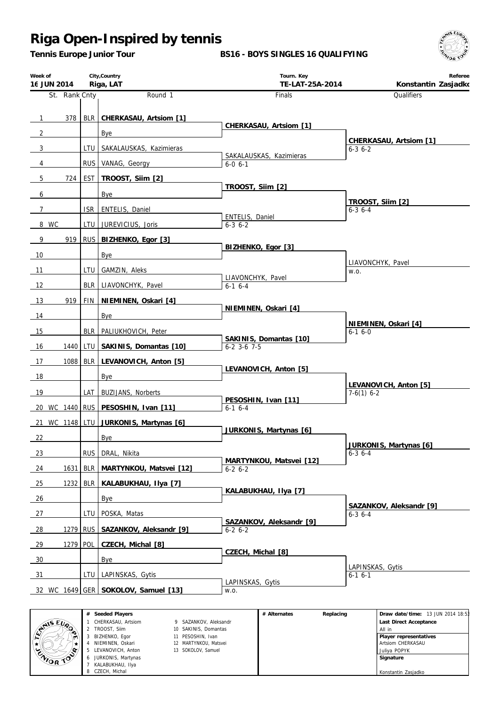*Tennis Europe Junior Tour*

**BS16 - BOYS SINGLES 16 QUALIFYING**



| Week of<br>16 JUN 2014 |            | City, Country<br>Riga, LAT            | Tourn. Key<br>TE-LAT-25A-2014            | Referee<br>Konstantin Zasjadko        |
|------------------------|------------|---------------------------------------|------------------------------------------|---------------------------------------|
| St. Rank Cnty          |            | Round 1                               | <b>Finals</b>                            | Qualifiers                            |
|                        |            | 378   BLR   CHERKASAU, Artsiom [1]    |                                          |                                       |
| $\mathbf{1}$           |            |                                       | CHERKASAU, Artsiom [1]                   |                                       |
| $\overline{2}$         |            | Bye                                   |                                          | CHERKASAU, Artsiom [1]                |
| 3                      |            | LTU   SAKALAUSKAS, Kazimieras         | SAKALAUSKAS, Kazimieras                  | $6 - 3$ $6 - 2$                       |
| 4                      |            | RUS VANAG, Georgy                     | $6 - 0 6 - 1$                            |                                       |
| 5 <sup>5</sup><br>724  |            | EST   TROOST, Silm [2]                | TROOST, Siim [2]                         |                                       |
| 6                      |            | Bye                                   |                                          | TROOST, Silm [2]                      |
| $\overline{7}$         |            | ISR   ENTELIS, Daniel                 |                                          | $6 - 3$ 6 - 4                         |
| 8 WC                   |            | LTU JUREVICIUS, Joris                 | ENTELIS, Daniel<br>$6 - 3$ $6 - 2$       |                                       |
| 9                      |            | 919 RUS BIZHENKO, Egor [3]            |                                          |                                       |
| 10                     |            | Bye                                   | BIZHENKO, Egor [3]                       |                                       |
| 11                     | LTU I      | GAMZIN, Aleks                         |                                          | LIAVONCHYK, Pavel<br>W.O.             |
| 12                     |            | BLR LIAVONCHYK, Pavel                 | LIAVONCHYK, Pavel                        |                                       |
|                        |            |                                       | $6-1$ $6-4$                              |                                       |
| 919<br>13              |            | FIN   NIEMINEN, Oskari [4]            | NIEMINEN, Oskari [4]                     |                                       |
| 14                     |            | Bye                                   |                                          | NIEMINEN, Oskari [4]                  |
| 15                     |            | BLR   PALIUKHOVICH, Peter             | SAKINIS, Domantas [10]                   | $6-16-0$                              |
| 16<br>1440             |            | LTU   SAKINIS, Domantas [10]          | $6 - 2$ 3-6 7-5                          |                                       |
| 17<br>1088             |            | BLR LEVANOVICH, Anton [5]             |                                          |                                       |
| 18                     |            | Bye                                   | LEVANOVICH, Anton [5]                    |                                       |
| 19                     | LAT        | <b>BUZIJANS, Norberts</b>             |                                          | LEVANOVICH, Anton [5]<br>$7-6(1)$ 6-2 |
|                        |            | 20 WC 1440 RUS PESOSHIN, Ivan [11]    | PESOSHIN, Ivan [11]<br>$6-1$ $6-4$       |                                       |
|                        |            | 21 WC 1148 LTU JURKONIS, Martynas [6] |                                          |                                       |
| 22                     |            | Bye                                   | JURKONIS, Martynas [6]                   |                                       |
|                        |            |                                       |                                          | JURKONIS, Martynas [6]                |
| 23                     |            | RUS DRAL, Nikita                      | MARTYNKOU, Matsvei [12]                  | $6 - 36 - 4$                          |
| 1631<br>24             |            | BLR   MARTYNKOU, Matsvei [12]         | $6-26-2$                                 |                                       |
| 1232<br>25             |            | BLR   KALABUKHAU, IIya [7]            | KALABUKHAU, Ilya [7]                     |                                       |
| 26                     |            | Bye                                   |                                          | SAZANKOV, Aleksandr [9]               |
| 27                     |            | LTU   POSKA, Matas                    |                                          | $6 - 3$ 6 - 4                         |
| 28<br>1279             | <b>RUS</b> | SAZANKOV, Aleksandr [9]               | SAZANKOV, Aleksandr [9]<br>$6 - 2 6 - 2$ |                                       |
| 29                     | 1279 POL   | CZECH, Michal [8]                     |                                          |                                       |
| 30                     |            | Bye                                   | CZECH, Michal [8]                        |                                       |
| 31                     | LTU I      | LAPINSKAS, Gytis                      |                                          | LAPINSKAS, Gytis<br>$6 - 16 - 1$      |
|                        |            | 32 WC 1649 GER SOKOLOV, Samuel [13]   | LAPINSKAS, Gytis<br>W.O.                 |                                       |
|                        |            |                                       |                                          |                                       |

|                | Seeded Players<br># |                       | # Alternates | Replacing | Draw date/time: 13 JUN 2014 18:53 |
|----------------|---------------------|-----------------------|--------------|-----------|-----------------------------------|
| <b>AIS EVA</b> | CHERKASAU, Artsiom  | 9 SAZANKOV, Aleksandr |              |           | Last Direct Acceptance            |
| ∾              | 2 TROOST, Silm      | 10 SAKINIS, Domantas  |              |           | All in                            |
|                | BIZHENKO, Egor      | 11 PESOSHIN, Ivan     |              |           | Player representatives            |
|                | NIEMINEN, Oskari    | 12 MARTYNKOU, Matsvei |              |           | Artsiom CHERKASAU                 |
| 0.             | LEVANOVICH, Anton   | 13 SOKOLOV, Samuel    |              |           | Juliva POPYK                      |
| CNIOR TOP      | JURKONIS, Martynas  |                       |              |           | Signature                         |
|                | KALABUKHAU, Ilya    |                       |              |           |                                   |
|                | CZECH, Michal       |                       |              |           | Konstantin Zasjadko               |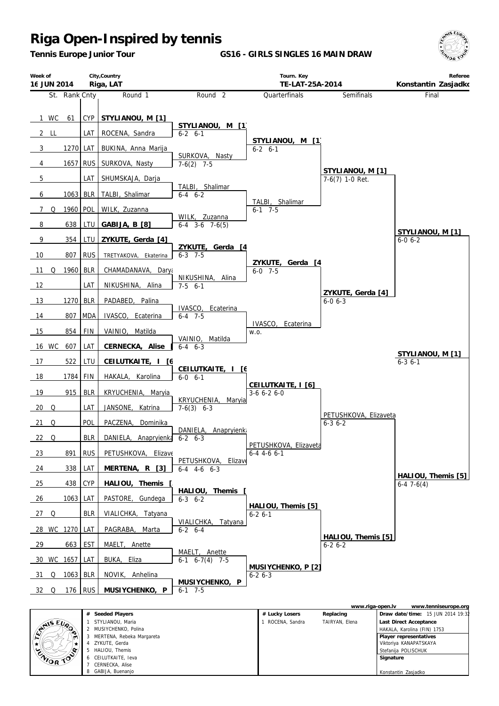MERTENA, Rebeka Margareta ZYKUTE, Gerda HALIOU, Themis CEILUTKAITE, Ieva CERNECKA, Alise GABIJA, Buenanjo

 $\star$ 

CENTOR TO

œ

*Tennis Europe Junior Tour*

**GS16 - GIRLS SINGLES 16 MAIN DRAW**



 **Player representatives** Viktoriya KANAPATSKAYA Stefanija POLISCHUK  **Signature**

Konstantin Zasjadko

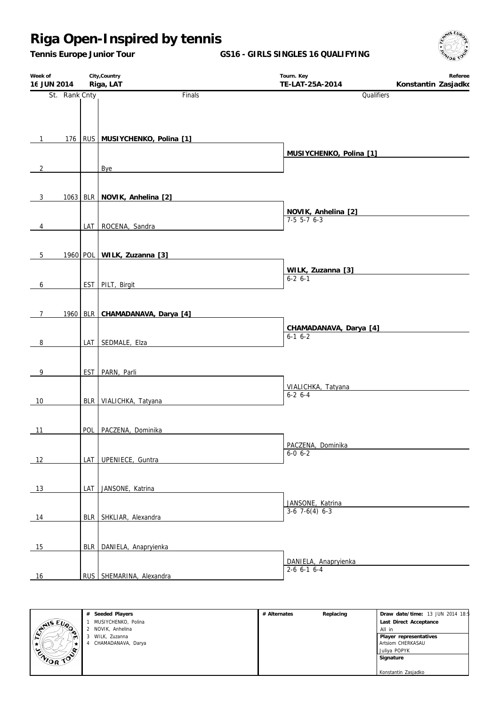*Tennis Europe Junior Tour*

**GS16 - GIRLS SINGLES 16 QUALIFYING**



| Week of<br>16 JUN 2014 |               |     | City, Country<br>Riga, LAT          | Tourn. Key<br>TE-LAT-25A-2014              | Referee<br>Konstantin Zasjadko |
|------------------------|---------------|-----|-------------------------------------|--------------------------------------------|--------------------------------|
|                        | St. Rank Cnty |     | Finals                              | Qualifiers                                 |                                |
|                        |               |     |                                     |                                            |                                |
|                        |               |     |                                     |                                            |                                |
| $\mathbf{1}$           |               |     | 176   RUS   MUSIYCHENKO, Polina [1] |                                            |                                |
| $\overline{2}$         |               |     | Bye                                 | MUSIYCHENKO, Polina [1]                    |                                |
|                        |               |     |                                     |                                            |                                |
| 3                      |               |     | 1063 BLR NOVIK, Anhelina [2]        |                                            |                                |
|                        |               |     |                                     | NOVIK, Anhelina [2]                        |                                |
| 4                      |               |     | LAT ROCENA, Sandra                  | $7-5$ 5-7 6-3                              |                                |
|                        |               |     |                                     |                                            |                                |
| $5\phantom{.0}$        |               |     | 1960 POL WILK, Zuzanna [3]          |                                            |                                |
|                        |               |     |                                     | WILK, Zuzanna [3]<br>$6-2$ $6-1$           |                                |
| 6                      |               |     | EST PILT, Birgit                    |                                            |                                |
| $7\overline{ }$        |               |     | 1960 BLR CHAMADANAVA, Darya [4]     |                                            |                                |
|                        |               |     |                                     | CHAMADANAVA, Darya [4]                     |                                |
| 8                      |               |     | LAT SEDMALE, Elza                   | $6-1$ $6-2$                                |                                |
|                        |               |     |                                     |                                            |                                |
| 9                      |               |     | EST PARN, Parli                     |                                            |                                |
|                        |               |     |                                     | VIALICHKA, Tatyana<br>$6 - 26 - 4$         |                                |
| 10                     |               |     | BLR   VIALICHKA, Tatyana            |                                            |                                |
| 11                     |               |     | POL   PACZENA, Dominika             |                                            |                                |
|                        |               |     |                                     | PACZENA, Dominika                          |                                |
| 12                     |               | LAT | UPENIECE, Guntra                    | $6 - 0 6 - 2$                              |                                |
|                        |               |     |                                     |                                            |                                |
| 13                     |               |     | LAT JANSONE, Katrina                |                                            |                                |
|                        |               |     |                                     | JANSONE, Katrina<br>$3-6$ 7 $-6(4)$ 6 $-3$ |                                |
| 14                     |               |     | BLR SHKLIAR, Alexandra              |                                            |                                |
|                        |               |     |                                     |                                            |                                |
| 15                     |               |     | BLR DANIELA, Anapryienka            |                                            |                                |
| 16                     |               |     | RUS SHEMARINA, Alexandra            | DANIELA, Anapryienka<br>$2-6$ 6-1 6-4      |                                |



| # Alternates | Replacing | Draw date/time: 13 JUN 2014 18: |
|--------------|-----------|---------------------------------|
|              |           | Last Direct Acceptance          |
|              |           | All in                          |
|              |           | Player representatives          |
|              |           | Artsiom CHERKASAU               |
|              |           | Juliya POPYK                    |
|              |           | Signature                       |
|              |           |                                 |
|              |           | Konstantin Zasjadko             |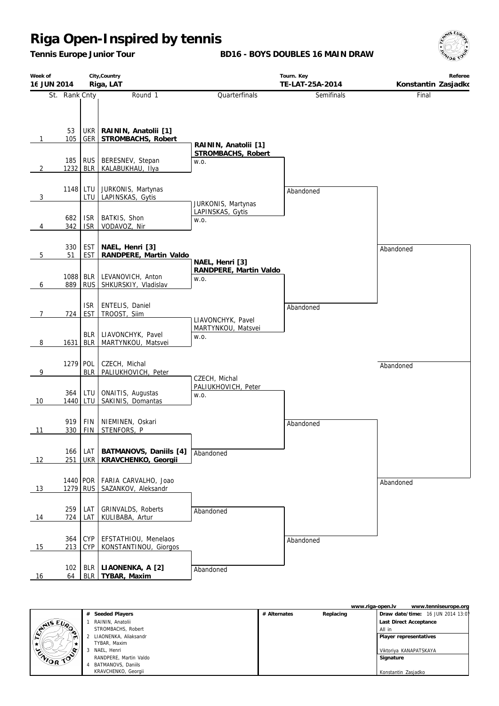*Tennis Europe Junior Tour*

**BD16 - BOYS DOUBLES 16 MAIN DRAW**



| Week of        |               |                          | City, Country                             |                                            | Tourn. Key        | Referee             |
|----------------|---------------|--------------------------|-------------------------------------------|--------------------------------------------|-------------------|---------------------|
| 16 JUN 2014    |               |                          | Riga, LAT                                 |                                            | TE-LAT-25A-2014   | Konstantin Zasjadko |
|                | St. Rank Cnty |                          | Round 1                                   | Quarterfinals                              | <b>Semifinals</b> | Final               |
|                |               |                          |                                           |                                            |                   |                     |
|                | 53            | UKR                      | RAININ, Anatolii [1]                      |                                            |                   |                     |
| $\mathbf{1}$   | 105           | GER                      | STROMBACHS, Robert                        |                                            |                   |                     |
|                |               |                          |                                           | RAININ, Anatolii [1]<br>STROMBACHS, Robert |                   |                     |
|                | 185           | <b>RUS</b>               | BERESNEV, Stepan                          | W.O.                                       |                   |                     |
| $\overline{2}$ | 1232 BLR      |                          | KALABUKHAU, Ilya                          |                                            |                   |                     |
|                | 1148 LTU      |                          | JURKONIS, Martynas                        |                                            | Abandoned         |                     |
| 3              |               | LTU                      | LAPINSKAS, Gytis                          | JURKONIS, Martynas                         |                   |                     |
|                |               |                          |                                           | LAPINSKAS, Gytis                           |                   |                     |
| 4              | 682<br>342    | <b>ISR</b><br><b>ISR</b> | BATKIS, Shon<br>VODAVOZ, Nir              | W.O.                                       |                   |                     |
|                |               |                          |                                           |                                            |                   |                     |
|                | 330           | <b>EST</b>               | NAEL, Henri [3]                           |                                            |                   | Abandoned           |
| 5              | 51            | <b>EST</b>               | RANDPERE, Martin Valdo                    | NAEL, Henri [3]                            |                   |                     |
|                |               |                          |                                           | RANDPERE, Martin Valdo                     |                   |                     |
| 6              | 889           | 1088 BLR<br><b>RUS</b>   | LEVANOVICH, Anton<br>SHKURSKIY, Vladislav | W.O.                                       |                   |                     |
|                |               |                          |                                           |                                            |                   |                     |
|                |               | <b>ISR</b>               | ENTELIS, Daniel                           |                                            | Abandoned         |                     |
| $7^{\circ}$    | 724           | <b>EST</b>               | TROOST, Siim                              | LIAVONCHYK, Pavel                          |                   |                     |
|                |               | <b>BLR</b>               | LIAVONCHYK, Pavel                         | MARTYNKOU, Matsvei                         |                   |                     |
| 8              | 1631          | <b>BLR</b>               | MARTYNKOU, Matsvei                        | W.O.                                       |                   |                     |
|                |               |                          |                                           |                                            |                   |                     |
| 9              | 1279 POL      | <b>BLR</b>               | CZECH, Michal<br>PALIUKHOVICH, Peter      |                                            |                   | Abandoned           |
|                |               |                          |                                           | CZECH, Michal                              |                   |                     |
|                | 364           | LTU                      | ONAITIS, Augustas                         | PALIUKHOVICH, Peter<br>W.O.                |                   |                     |
| 10             | 1440          | LTU                      | SAKINIS, Domantas                         |                                            |                   |                     |
|                |               |                          |                                           |                                            |                   |                     |
| 11             | 919<br>330    | <b>FIN</b><br><b>FIN</b> | NIEMINEN, Oskari<br>STENFORS, P           |                                            | Abandoned         |                     |
|                |               |                          |                                           |                                            |                   |                     |
|                | 166           | I LAT                    | BATMANOVS, Daniils [4]                    | Abandoned                                  |                   |                     |
| 12             | 251           | <b>UKR</b>               | KRAVCHENKO, Georgii                       |                                            |                   |                     |
|                | 1440 POR      |                          | FARIA CARVALHO, Joao                      |                                            |                   |                     |
| 13             | 1279          | <b>RUS</b>               | SAZANKOV, Aleksandr                       |                                            |                   | Abandoned           |
|                |               |                          |                                           |                                            |                   |                     |
|                | 259           | LAT                      | <b>GRINVALDS, Roberts</b>                 | Abandoned                                  |                   |                     |
| 14             | 724           | LAT                      | KULIBABA, Artur                           |                                            |                   |                     |
|                | 364           | <b>CYP</b>               | EFSTATHIOU, Menelaos                      |                                            | Abandoned         |                     |
| 15             | 213           | <b>CYP</b>               | KONSTANTINOU, Giorgos                     |                                            |                   |                     |
|                |               |                          |                                           |                                            |                   |                     |
| 16             | 102<br>64     | <b>BLR</b>               | LIAONENKA, A [2]<br>BLR   TYBAR, Maxim    | Abandoned                                  |                   |                     |